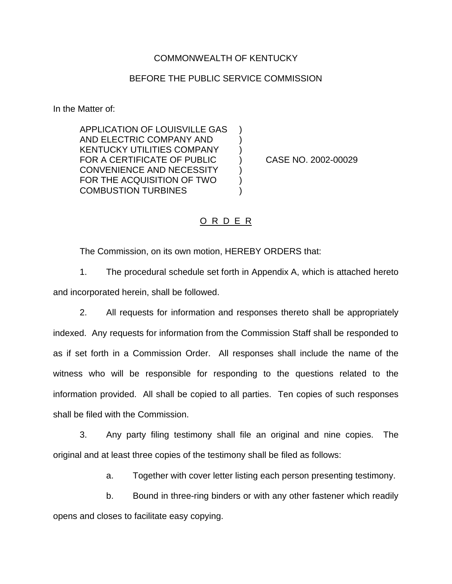### COMMONWEALTH OF KENTUCKY

### BEFORE THE PUBLIC SERVICE COMMISSION

In the Matter of:

APPLICATION OF LOUISVILLE GAS ) AND ELECTRIC COMPANY AND ) KENTUCKY UTILITIES COMPANY ) FOR A CERTIFICATE OF PUBLIC ) CASE NO. 2002-00029 CONVENIENCE AND NECESSITY (1) FOR THE ACQUISITION OF TWO  $\qquad$  ) COMBUSTION TURBINES (2008)

#### O R D E R

The Commission, on its own motion, HEREBY ORDERS that:

1. The procedural schedule set forth in Appendix A, which is attached hereto and incorporated herein, shall be followed.

2. All requests for information and responses thereto shall be appropriately indexed. Any requests for information from the Commission Staff shall be responded to as if set forth in a Commission Order. All responses shall include the name of the witness who will be responsible for responding to the questions related to the information provided. All shall be copied to all parties. Ten copies of such responses shall be filed with the Commission.

3. Any party filing testimony shall file an original and nine copies. The original and at least three copies of the testimony shall be filed as follows:

a. Together with cover letter listing each person presenting testimony.

b. Bound in three-ring binders or with any other fastener which readily opens and closes to facilitate easy copying.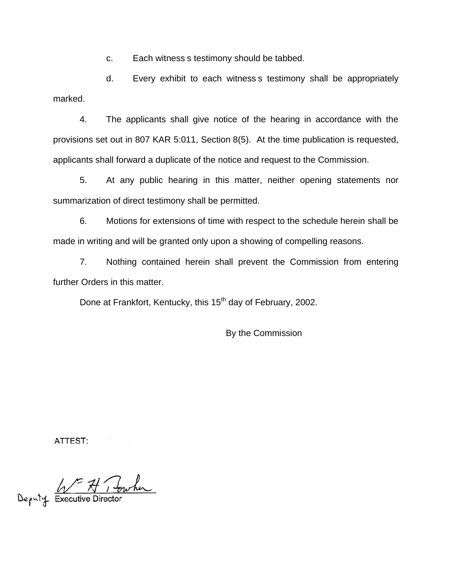c. Each witness s testimony should be tabbed.

d. Every exhibit to each witness s testimony shall be appropriately marked.

4. The applicants shall give notice of the hearing in accordance with the provisions set out in 807 KAR 5:011, Section 8(5). At the time publication is requested, applicants shall forward a duplicate of the notice and request to the Commission.

5. At any public hearing in this matter, neither opening statements nor summarization of direct testimony shall be permitted.

6. Motions for extensions of time with respect to the schedule herein shall be made in writing and will be granted only upon a showing of compelling reasons.

7. Nothing contained herein shall prevent the Commission from entering further Orders in this matter.

Done at Frankfort, Kentucky, this 15<sup>th</sup> day of February, 2002.

By the Commission

ATTEST:

Deputy Executive Director